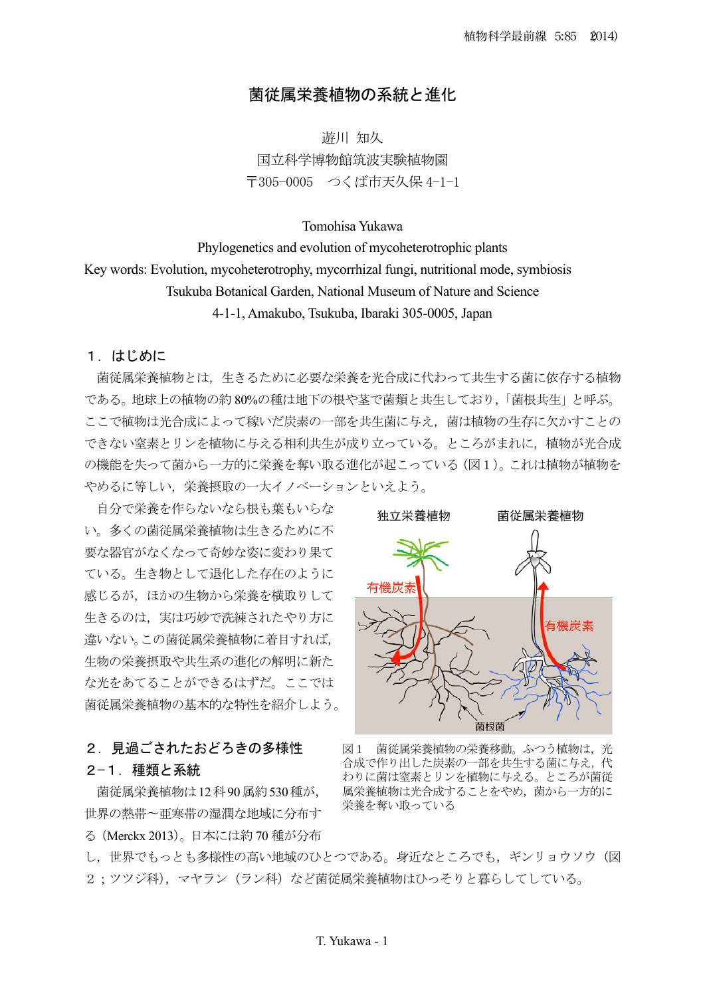# 菌従属栄養植物の系統と進化

游川 知久 国立科学博物館筑波実験植物園 〒305-0005 つくば市天久保 4-1-1

## Tomohisa Yukawa

Phylogenetics and evolution of mycoheterotrophic plants Key words: Evolution, mycoheterotrophy, mycorrhizal fungi, nutritional mode, symbiosis Tsukuba Botanical Garden, National Museum of Nature and Science 4-1-1, Amakubo, Tsukuba, Ibaraki 305-0005, Japan

### 1. はじめに

菌従属栄養植物とは、生きるために必要な栄養を光合成に代わって共生する菌に依存する植物 である。地球上の植物の約80%の種は地下の根や茎で菌類と共生しており、「菌根共生」と呼ぶ。 ここで植物は光合成によって稼いだ炭素の一部を共生菌に与え、菌は植物の生存に欠かすことの できない窒素とリンを植物に与える相利共生が成り立っている。ところがまれに、植物が光合成 の機能を失って菌から一方的に栄養を奪い取る進化が起こっている (図1)。これは植物が植物を やめるに等しい、栄養摂取の一大イノベーションといえよう。

自分で栄養を作らないなら根も葉もいらな い。多くの菌従属栄養植物は生きるために不 要な器官がなくなって奇妙な姿に変わり果て ている。生き物として退化した存在のように 感じるが、ほかの生物から栄養を横取りして 生きるのは、実は巧妙で洗練されたやり方に 違いない。この菌従属栄養植物に着目すれば, 生物の栄養摂取や共生系の進化の解明に新た な光をあてることができるはずだ。ここでは 菌従属栄養植物の基本的な特性を紹介しよう。

### 2. 見過ごされたおどろきの多様性

## 2-1. 種類と系統

菌従属栄養植物は12科90属約530種が、 世界の熱帯~亜寒帯の湿潤な地域に分布す る (Merckx 2013)。日本には約 70 種が分布



図1 菌従属栄養植物の栄養移動。ふつう植物は、光 合成で作り出した炭素の一部を共生する菌に与え、代 わりに菌は窒素とリンを植物に与える。ところが菌従 属栄養植物は光合成することをやめ、菌から一方的に 栄養を奪い取っている

し、世界でもっとも多様性の高い地域のひとつである。身近なところでも、ギンリョウソウ(図 2; ツツジ科), マヤラン (ラン科) など菌従属栄養植物はひっそりと暮らしてしている。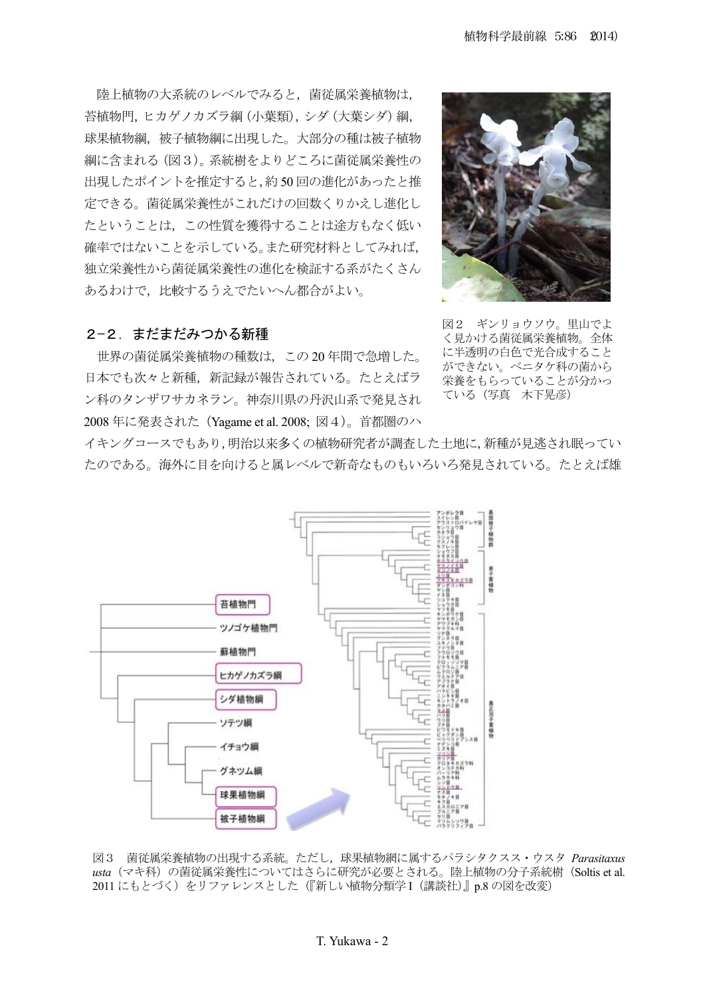陸上植物の大系統のレベルでみると、菌従属栄養植物は, 苔植物門, ヒカゲノカズラ綱 (小葉類), シダ (大葉シダ) 綱, 球果植物綱、被子植物綱に出現した。大部分の種は被子植物 綱に含まれる (図3)。系統樹をよりどころに菌従属栄養性の 出現したポイントを推定すると、約50回の進化があったと推 定できる。菌従属栄養性がこれだけの回数くりかえし進化し たということは、この性質を獲得することは途方もなく低い 確率ではないことを示している。また研究材料としてみれば、 独立栄養性から菌従属栄養性の進化を検証する系がたくさん あるわけで、比較するうえでたいへん都合がよい。



# 2-2. まだまだみつかる新種

世界の菌従属栄養植物の種数は、この20年間で急増した。 日本でも次々と新種、新記録が報告されている。たとえばラ ン科のタンザワサカネラン。神奈川県の丹沢山系で発見され 2008年に発表された (Yagame et al. 2008; 図4)。首都圏のハ

図2 ギンリョウソウ。里山でよ く見かける菌従属栄養植物。全体 に半透明の白色で光合成すること ができない。ベニタケ科の菌から 栄養をもらっていることが分かっ ている (写真 木下晃彦)

イキングコースでもあり,明治以来多くの植物研究者が調査した土地に,新種が見逃され眠ってい たのである。海外に目を向けると属レベルで新奇なものもいろいろ発見されている。たとえば雄



図3 菌従属栄養植物の出現する系統。ただし、球果植物網に属するパラシタクスス・ウスタ Parasitaxus usta (マキ科) の菌従属栄養性についてはさらに研究が必要とされる。陸上植物の分子系統樹 (Soltis et al. 2011 にもとづく)をリファレンスとした(『新しい植物分類学I(講談社)』p.8 の図を改変)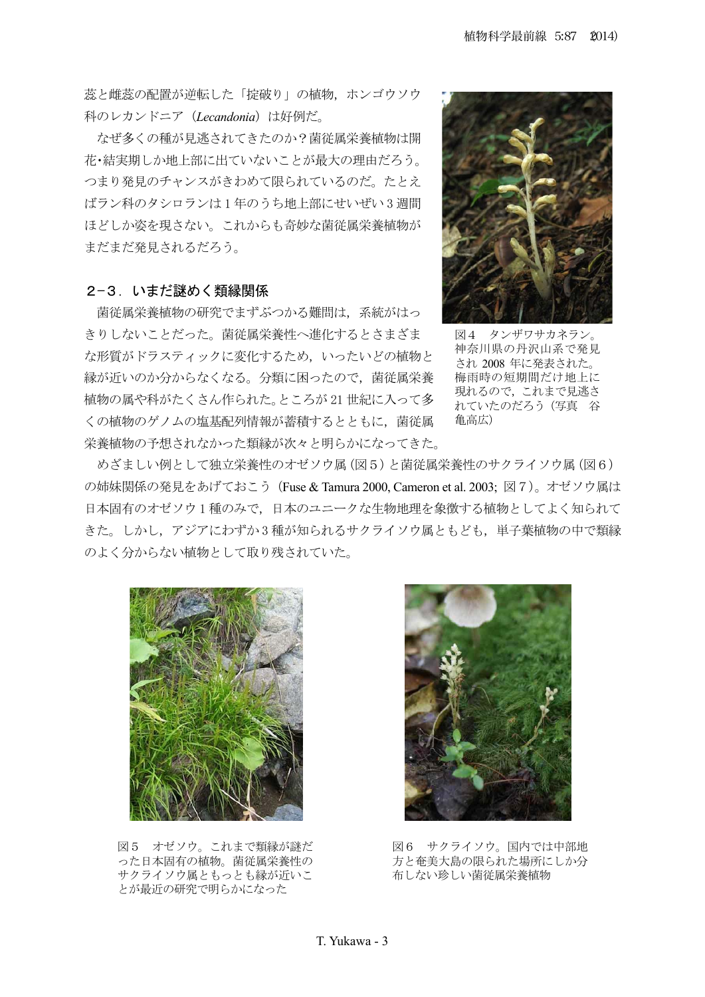蕊と雌蕊の配置が逆転した「掟破り」の植物、ホンゴウソウ 科のレカンドニア (Lecandonia) は好例だ。

なぜ多くの種が見逃されてきたのか?菌従属栄養植物は開 花•結実期しか地上部に出ていないことが最大の理由だろう。 つまり発見のチャンスがきわめて限られているのだ。たとえ ばラン科のタシロランは1年のうち地上部にせいぜい3週間 ほどしか姿を現さない。これからも奇妙な菌従属栄養植物が まだまだ発見されるだろう。

## 2-3. いまだ謎めく類縁関係

菌従属栄養植物の研究でまずぶつかる難問は、系統がはっ きりしないことだった。菌従属栄養性へ進化するとさまざま な形質がドラスティックに変化するため、いったいどの植物と 縁が近いのか分からなくなる。分類に困ったので、菌従属栄養 植物の属や科がたくさん作られた。ところが21世紀に入って多 くの植物のゲノムの塩基配列情報が蓄積するとともに、菌従属 栄養植物の予想されなかった類縁が次々と明らかになってきた。



図4 タンザワサカネラン 神奈川県の丹沢山系で発見 され 2008 年に発表された。 梅雨時の短期間だけ地上に 現れるので、これまで見逃さ れていたのだろう (写真 谷 亀高広)

めざましい例として独立栄養性のオゼソウ属 (図5) と菌従属栄養性のサクライソウ属 (図6) の姉妹関係の発見をあげておこう (Fuse & Tamura 2000, Cameron et al. 2003;図7)。オゼソウ属は 日本固有のオゼソウ1種のみで、日本のユニークな生物地理を象徴する植物としてよく知られて きた。しかし、アジアにわずか3種が知られるサクライソウ属ともども、単子葉植物の中で類縁 のよく分からない植物として取り残されていた。



図5 オゼソウ。これまで類縁が謎だ ○た日本固有の植物。菌従属栄養性の サクライソウ属ともっとも縁が近いこ とが最近の研究で明らかになった



図6 サクライソウ。国内では中部地 方と奄美大島の限られた場所にしか分 布しない珍しい菌従属栄養植物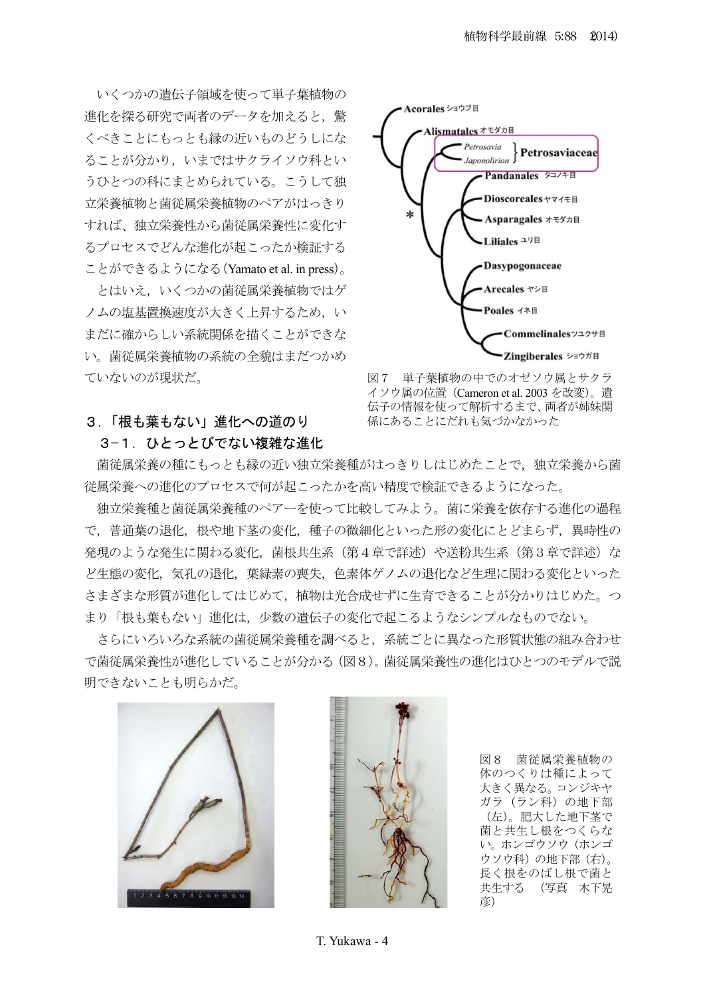いくつかの遺伝子領域を使って単子葉植物の 進化を探る研究で両者のデータを加えると、驚 くべきことにもっとも縁の近いものどうしにな ることが分かり、いまではサクライソウ科とい うひとつの科にまとめられている。こうして独 立栄養植物と菌従属栄養植物のペアがはっきり すれば、独立栄養性から菌従属栄養性に変化す るプロセスでどんな進化が起こったか検証する ことができるようになる (Yamato et al. in press)。

とはいえ、いくつかの菌従属栄養植物ではゲ ノムの塩基置換速度が大きく上昇するため、い まだに確からしい系統関係を描くことができな い。菌従属栄養植物の系統の全貌はまだつかめ ていないのが現状だ。



図7 単子葉植物の中でのオゼソウ属とサクラ イソウ属の位置(Cameron et al. 2003 を改変)。遺 伝子の情報を使って解析するまで、両者が姉妹関 係にあることにだれも気づかなかった

# 3. 「根も葉もない」進化への道のり

3-1. ひとっとびでない複雑な進化

菌従属栄養の種にもっとも縁の近い独立栄養種がはっきりしはじめたことで、独立栄養から菌 従属栄養への進化のプロセスで何が起こったかを高い精度で検証できるようになった。

独立栄養種のペアーを使って比較してみよう。菌に栄養を依存する進化の過程 で、普通葉の退化、根や地下茎の変化、種子の微細化といった形の変化にとどまらず、異時性の 発現のような発生に関わる変化、菌根共生系(第4章で詳述)や送粉共生系(第3章で詳述)な ど生態の変化、気孔の退化、葉緑素の喪失、色素体ゲノムの退化など生理に関わる変化といった さまざまな形質が進化してはじめて、植物は光合成せずに生育できることが分かりはじめた。つ まり「根も葉もない」進化は、少数の遺伝子の変化で起こるようなシンプルなものでない。

さらにいろいろな系統の菌従属栄養種を調べると,系統ごとに異なった形質状態の組み合わせ で菌従属栄養性が進化していることが分かる (図8)。菌従属栄養性の進化はひとつのモデルで説 明できないことも明らかだ。





図8 菌従属栄養植物の 体のつくりは種によって 大きく異なる。コンジキヤ ガラ (ラン科)の地下部 (左)。肥大した地下茎で 菌と共生し根をつくらな い。ホンゴウソウ(ホンゴ ウソウ科)の地下部(右)。 長く根をのばし根で菌と 共生する (写真 木下晃 彦)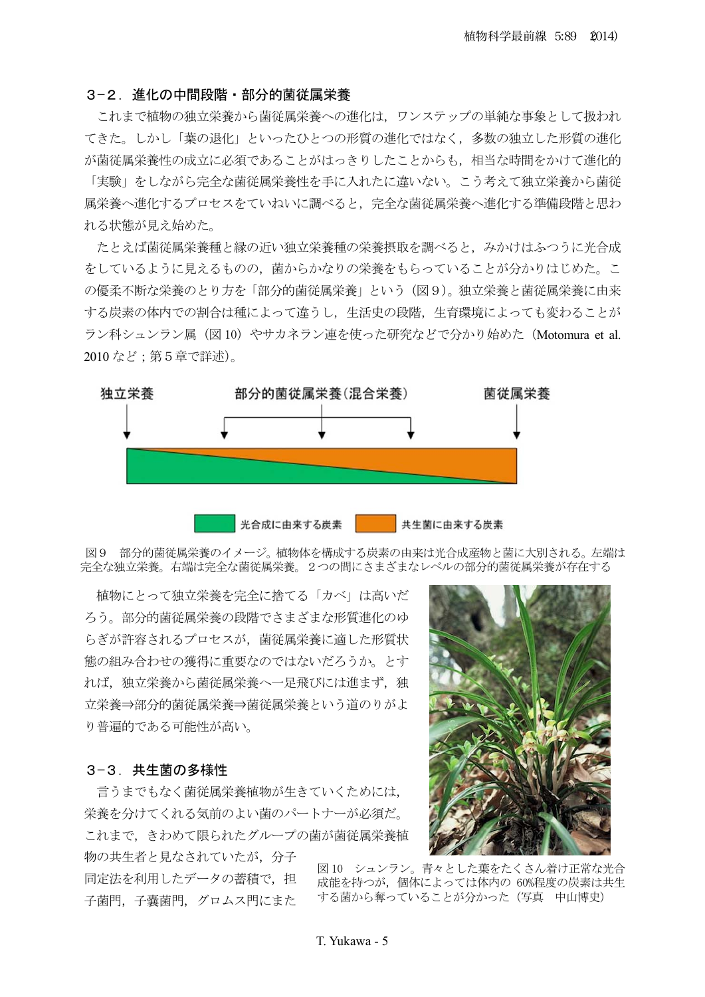#### 3-2. 進化の中間段階・部分的菌従属栄養

これまで植物の独立栄養から菌従属栄養への進化は、ワンステップの単純な事象として扱われ てきた。しかし「葉の退化」といったひとつの形質の進化ではなく、多数の独立した形質の進化 が菌従属栄養性の成立に必須であることがはっきりしたことからも,相当な時間をかけて進化的 「実験」をしながら完全な菌従属栄養性を手に入れたに違いない。こう考えて独立栄養から菌従 属栄養へ進化するプロセスをていねいに調べると、完全な菌従属栄養へ進化する準備段階と思わ れる状態が見え始めた。

たとえば菌従属栄養種の迩い独立栄養種の栄養摂取を調べると、みかけはふつうに光合成 をしているように見えるものの、菌からかなりの栄養をもらっていることが分かりはじめた。こ の優柔不断な栄養のとり方を「部分的菌従属栄養」という(図9)。独立栄養と菌従属栄養に由来 する炭素の体内での割合は種によって違うし、生活史の段階、生育環境によっても変わることが ラン科シュンラン属 (図10) やサカネラン連を使った研究などで分かり始めた (Motomura et al. 2010など;第5章で詳述)。



図9 部分的菌従属栄養のイメージ。植物体を構成する炭素の由来は光合成産物と菌に大別される。左端は 完全な独立栄養。右端は完全な菌従属栄養。2つの間にさまざまなレベルの部分的菌従属栄養が存在する

植物にとって独立栄養を完全に捨てる「カベ」は高いだ ろう。部分的菌従属栄養の段階でさまざまな形質進化のゆ らぎが許容されるプロセスが、菌従属栄養に適した形質状 態の組み合わせの獲得に重要なのではないだろうか。 とす れば、独立栄養から菌従属栄養へ一足飛びには進まず、独 立栄養⇒部分的菌従属栄養⇒菌従属栄養という道のりがよ り普遍的である可能性が高い。

### 3-3. 共生菌の多様性

言うまでもなく菌従属栄養植物が生きていくためには、 栄養を分けてくれる気前のよい菌のパートナーが必須だ。 これまで、きわめて限られたグループの菌が菌従属栄養植

物の共生者と見なされていたが、分子 同定法を利用したデータの蓄積で,担 子菌門, 子囊菌門, グロムス門にまた



図10 シュンラン。青々とした葉をたくさん着け正常な光合 成能を持つが、個体によっては体内の 60%程度の炭素は共生 する菌から奪っていることが分かった (写真 中山博史)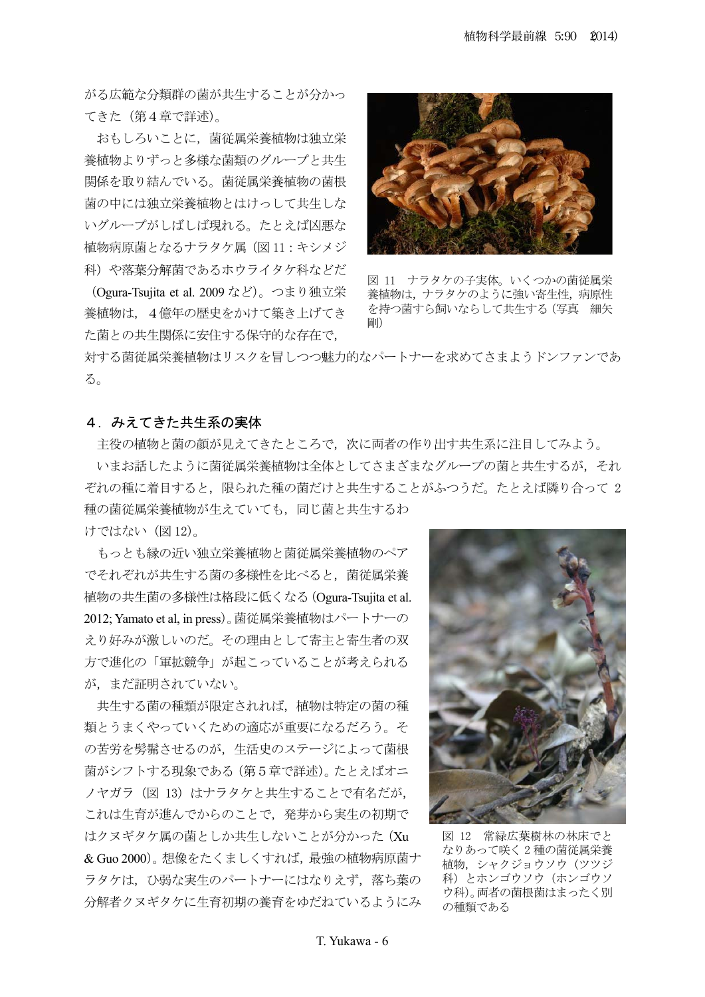がる広範な分類群の菌が共生することが分かっ てきた (第4章で詳述)。

おもしろいことに、菌従属栄養植物は独立栄 養植物よりずっと多様な菌類のグループと共生 関係を取り結んでいる。菌従属栄養植物の菌根 菌の中には独立栄養植物とはけっして共生しな いグループがしばしば現れる。たとえば凶悪な 植物病原菌となるナラタケ属 (図11:キシメジ 科)や落葉分解菌であるホウライタケ科などだ

(Ogura-Tsujita et al. 2009 など)。つまり独立栄 養植物は, 4億年の歴史をかけて築き上げてき た菌との共生関係に安住する保守的な存在で、



図 11 ナラタケの子実体。いくつかの菌従属栄 養植物は、ナラタケのように強い寄生性, 病原性 を持つ菌すら飼いならして共生する (写真 細矢 剛り

対する菌従属栄養植物はリスクを冒しつつ魅力的なパートナーを求めてさまようドンファンであ  $\delta$ .

## 4. みえてきた共生系の実体

主役の植物と菌の顔が見えてきたところで、次に両者の作り出す共生系に注目してみよう。 いまお話したように菌従属栄養植物は全体としてさまざまなグループの菌と共生するが、それ ぞれの種に着目すると、限られた種の菌だけと共生することがふつうだ。たとえば隣り合って2 種の菌従属栄養植物が生えていても、同じ菌と共生するわ

けではない (図12)。

もっとも縁の近い独立栄養植物と菌従属栄養植物のペア でそれぞれが共生する菌の多様性を比べると、菌従属栄養 植物の共生菌の多様性は格段に低くなる (Ogura-Tsujita et al. 2012; Yamato et al, in press)。菌従属栄養植物はパートナーの えり好みが激しいのだ。その理由として寄主と寄生者の双 方で進化の「軍拡競争」が起こっていることが考えられる が、まだ証明されていない。

共生する菌の種類が限定されれば、植物は特定の菌の種 類とうまくやっていくための適応が重要になるだろう。そ の苦労を髣髴させるのが、生活史のステージによって菌根 菌がシフトする現象である (第5章で詳述)。 たとえばオニ ノヤガラ (図 13) はナラタケと共生することで有名だが, これは生育が進んでからのことで、発芽から実生の初期で はクヌギタケ属の菌としか共生しないことが分かった (Xu & Guo 2000)。想像をたくましくすれば、最強の植物病原菌ナ ラタケは、ひ弱な実生のパートナーにはなりえず、落ち葉の 分解者クヌギタケに生育初期の養育をゆだねているようにみ



図 12 常緑広葉樹林の林床でと なりあって咲く2種の菌従属栄養 植物、シャクジョウソウ (ツツジ 科) とホンゴウソ (ホンゴウソ ウ科)。両者の菌根菌はまったく別 の種類である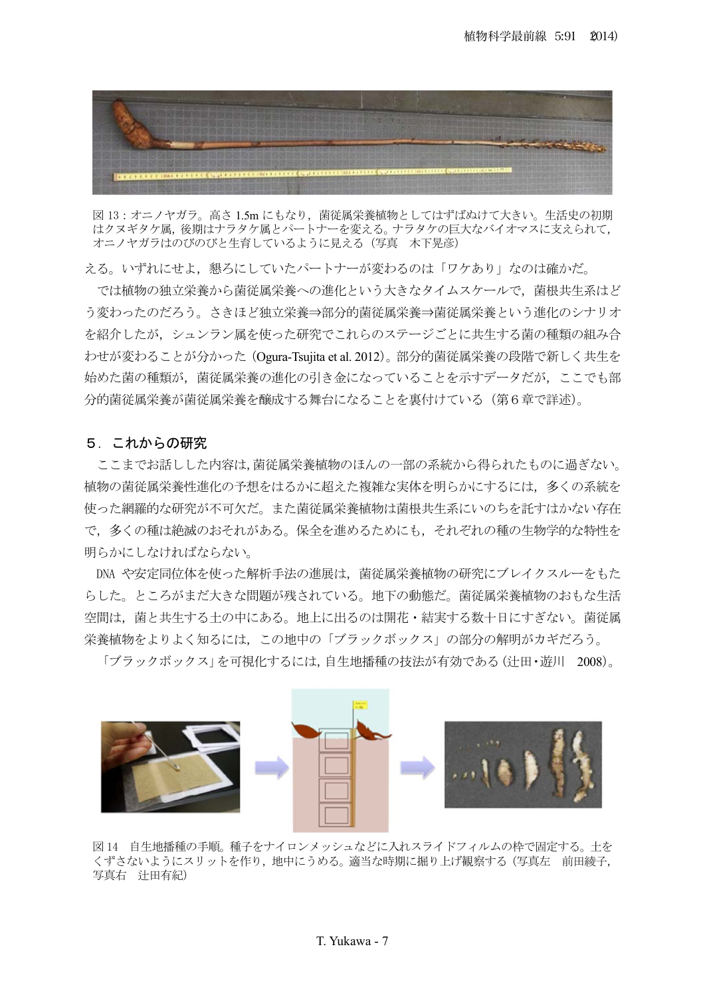

図13:オニノヤガラ。 高さ 1.5m にもなり、 菌従属栄養植物としてはずばぬけて大きい。 生活史の初期 はクヌギタケ属、後期はナラタケ属とパートナーを変える。ナラタケの巨大なバイオマスに支えられて、 オニノヤガラはのびのびと生育しているように見える (写真 木下晃彦)

える。いずれにせよ、懇ろにしていたパートナーが変わるのは「ワケあり」なのは確かだ。

では植物の独立栄養から菌従属栄養への進化という大きなタイムスケールで、菌根共生系はど う変わったのだろう。さきほど独立栄養⇒部分的菌従属栄養⇒菌従属栄養という進化のシナリオ を紹介したが、シュンラン属を使った研究でこれらのステージごとに共生する菌の種類の組み合 わせが変わることが分かった (Ogura-Tsujita et al. 2012)。部分的菌従属栄養の段階で新しく共生を 始めた菌の種族義の進化の引き金になっていることを示すデータだが、ここでも部 分的菌従属栄養を醸成する舞台になることを裏付けている(第6章で詳述)。

#### 5. これからの研究

ここまでお話しした内容は,菌従属栄養植物のほんの一部の系統から得られたものに過ぎない。 植物の菌従属栄養性准化の予想をはるかに超えた複雑な実体を明らかにするには、多くの系統を 使った網羅的な研究が不可欠だ。また菌従属栄養植物は菌根共生系にいのちを託すはかない存在 で、多くの種は絶滅のおそれがある。保全を進めるためにも、それぞれの種の生物学的な特性を 明らかにしなければならない。

DNA や安定同位体を使った解析手法の進展は,菌従属栄養植物の研究にブレイクスルーをもた らした。ところがまだ大きな問題が残されている。地下の動態だ。菌従属栄養植物のおもな生活 空間は、菌と共生する土の中にある。地上に出るのは開花・結実する数十日にすぎない。菌従属 栄養植物をよりよく知るには,この地中の「ブラックボックス」の部分の解明がカギだろう。

「ブラックボックス」を可視化するには、自生地播種の技法が有効である(辻田・遊川 2008)。



図14 自生地播種の手順。種子をナイロンメッシュなどに入れスライドフィルムの枠で固定する。土を くずさないようにスリットを作り、地中にうめる。適当な時期に掘り上げ観察する (写真左 前田綾子, 写真右 辻田有紀)